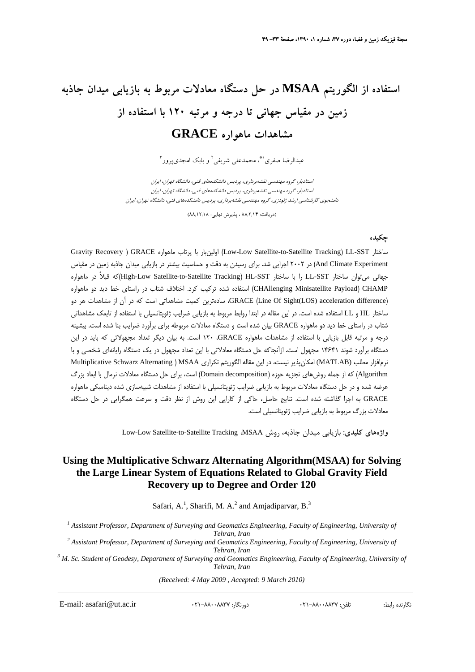# **استفاده از الگوريتم MSAA در حل دستگاه معادلات مربوط به بازيابي ميدان جاذبه زمين در مقياس جهاني تا درجه و مرتبه 120 با استفاده از مشاهدات ماهواره GRACE**

عبدالرضا صفري ا\*، محمدعلي شريفي ` و بابک امجديپرور "

استاديار، گروه مهندسي نقشهبرداري، پرديس دانشكدههاي فني، دانشگاه تهران، ايران استاديار، گروه مهندسي نقشهبرداري، پرديس دانشكدههاي فني، دانشگاه تهران، ايران دانشجوي كارشناسي ارشد ژئودزي، گروه مهندسي نقشهبرداري، پرديس دانشكدههاي فني، دانشگاه تهران، ايران

(دريافت: 88/2/14 ، پذيرش نهايي: 88/12/18)

#### **چكيده**

Gravity Recovery ) GRACE ماهواره پرتاب با اولينبار) Low-Low Satellite-to-Satellite Tracking) LL-SST ساختار And Climate Experiment) در ۲۰۰۲ اجرايي شد. براي رسيدن به دقت و حساسيت بيشتر در بازيابي ميدان جاذبه زمين در مقياس جهاني ميتوان ساختار SST-LL را با ساختار SST-HL) Tracking Satellite-to-Satellite Low-High(كه قبلاً در ماهواره CHAMP) Payload Minisatellite CHAllenging (استفاده شده تركيب كرد. اختلاف شتاب در راستاي خط ديد دو ماهواره (difference acceleration) LOS(Sight Of Line (GRACE، سادهترين كميت مشاهداتي است كه در آن از مشاهدات هر دو ساختار HL و LL استفاده شده است. در اين مقاله در ابتدا روابط مربوط به بازيابي ضرايب ژئوپتانسيلي با استفاده از تابعك مشاهداتي شتاب در راستاي خط ديد دو ماهواره GRACE بيان شده است و دستگاه معادلات مربوطه براي برآورد ضرايب بنا شده است. بيشينه درجه و مرتبه قابل بازيابي با استفاده از مشاهدات ماهواره GRACE، 120 است. به بيان ديگر تعداد مجهولاتي كه بايد در اين دستگاه برآورد شوند 14641 مجهول است. ازآنجاكه حل دستگاه معادلاتي با اين تعداد مجهول در يك دستگاه رايانهاي شخصي و با نرمافزار مطلب (MATLAB) امكان يذير نيست، در اين مقاله الگوريتم تكراري Multiplicative Schwarz Alternating ) MSAA Algorithm (كه از جمله روشهاي تجزيه حوزه (decomposition Domain (است، براي حل دستگاه معادلات نرمال با ابعاد بزرگ عرضه شده و در حل دستگاه معادلات مربوط به بازيابي ضرايب ژئوپتانسيلي با استفاده از مشاهدات شبيهسازي شده ديناميكي ماهواره GRACE به اجرا گذاشته شده است. نتايج حاصل، حاكي از كارايي اين روش از نظر دقت و سرعت همگرايي در حل دستگاه معادلات بزرگ مربوط به بازيابي ضرايب ژئوپتانسيلي است.

Low-Low Satellite-to-Satellite Tracking ،MSAA روش ،جاذبه ميدان بازيابي **:كليدي واژههاي**

# **Using the Multiplicative Schwarz Alternating Algorithm(MSAA) for Solving the Large Linear System of Equations Related to Global Gravity Field Recovery up to Degree and Order 120**

Safari, A.<sup>1</sup>, Sharifi, M. A.<sup>2</sup> and Amjadiparvar, B.<sup>3</sup>

<sup>1</sup> Assistant Professor, Department of Surveying and Geomatics Engineering, Faculty of Engineering, University of

*Tehran, Iran*<br><sup>2</sup> Assistant Professor, Department of Surveying and Geomatics Engineering, Faculty of Engineering, University of

*Tehran, Iran*<br><sup>3</sup> M. Sc. Student of Geodesy, Department of Surveying and Geomatics Engineering, Faculty of Engineering, University of *Tehran, Iran*

*(Received: 4 May 2009 , Accepted: 9 March 2010)*

E-mail: asafari@ut.ac.ir 021-88008837 :دورنگار 021-88008837 :تلفن :رابط نگارنده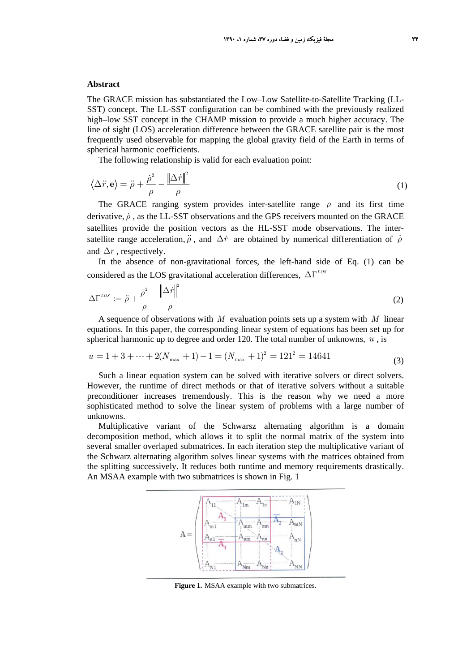#### **Abstract**

The GRACE mission has substantiated the Low–Low Satellite-to-Satellite Tracking (LL-SST) concept. The LL-SST configuration can be combined with the previously realized high–low SST concept in the CHAMP mission to provide a much higher accuracy. The line of sight (LOS) acceleration difference between the GRACE satellite pair is the most frequently used observable for mapping the global gravity field of the Earth in terms of spherical harmonic coefficients.

The following relationship is valid for each evaluation point:

$$
\langle \Delta \ddot{r}, \mathbf{e} \rangle = \ddot{\rho} + \frac{\dot{\rho}^2}{\rho} - \frac{\left\| \Delta \dot{r} \right\|^2}{\rho} \tag{1}
$$

The GRACE ranging system provides inter-satellite range  $\rho$  and its first time derivative,  $\dot{\rho}$ , as the LL-SST observations and the GPS receivers mounted on the GRACE satellites provide the position vectors as the HL-SST mode observations. The intersatellite range acceleration,  $\ddot{\rho}$ , and  $\Delta \dot{r}$  are obtained by numerical differentiation of  $\dot{\rho}$ and  $\Delta r$ , respectively.

In the absence of non-gravitational forces, the left-hand side of Eq. (1) can be considered as the LOS gravitational acceleration differences,  $ΔΓ<sup>LOS</sup>$ 

$$
\Delta\Gamma^{LOS} := \ddot{\rho} + \frac{\dot{\rho}^2}{\rho} - \frac{\left\|\Delta\dot{r}\right\|^2}{\rho} \tag{2}
$$

A sequence of observations with *M* evaluation points sets up a system with *M* linear equations. In this paper, the corresponding linear system of equations has been set up for spherical harmonic up to degree and order 120. The total number of unknowns,  $u$ , is

$$
u = 1 + 3 + \dots + 2(N_{\text{max}} + 1) - 1 = (N_{\text{max}} + 1)^2 = 121^2 = 14641
$$
\n(3)

Such a linear equation system can be solved with iterative solvers or direct solvers. However, the runtime of direct methods or that of iterative solvers without a suitable preconditioner increases tremendously. This is the reason why we need a more sophisticated method to solve the linear system of problems with a large number of unknowns.

Multiplicative variant of the Schwarsz alternating algorithm is a domain decomposition method, which allows it to split the normal matrix of the system into several smaller overlaped submatrices. In each iteration step the multiplicative variant of the Schwarz alternating algorithm solves linear systems with the matrices obtained from the splitting successively. It reduces both runtime and memory requirements drastically. An MSAA example with two submatrices is shown in Fig. 1



**Figure 1.** MSAA example with two submatrices.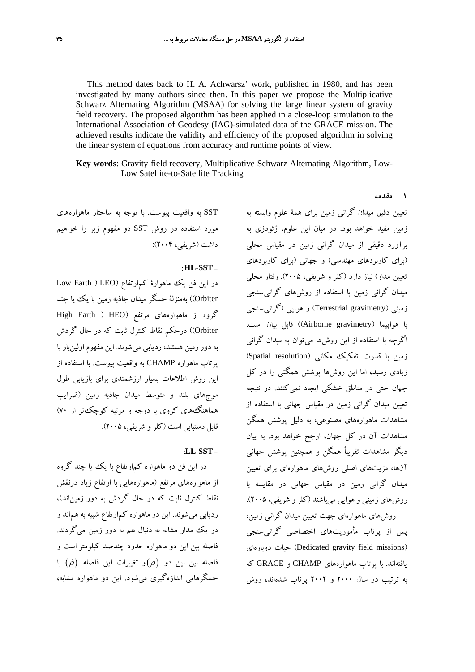This method dates back to H. A. Achwarsz' work, published in 1980, and has been investigated by many authors since then. In this paper we propose the Multiplicative Schwarz Alternating Algorithm (MSAA) for solving the large linear system of gravity field recovery. The proposed algorithm has been applied in a close-loop simulation to the International Association of Geodesy (IAG)-simulated data of the GRACE mission. The achieved results indicate the validity and efficiency of the proposed algorithm in solving the linear system of equations from accuracy and runtime points of view.

**Key words**: Gravity field recovery, Multiplicative Schwarz Alternating Algorithm, Low-Low Satellite-to-Satellite Tracking

SST به واقعيت پيوست. با توجه به ساختار ماهوارههاي مورد استفاده در روش SST دو مفهوم زير را خواهيم داشت (شريفي، 2004):

## : **HL-SST** -

در اين فن يك ماهوارة كمارتفاع (LEO ) Earth Low Orbiter ((بهمنزلة حسگر ميدان جاذبه زمين با يك يا چند گروه از ماهوارههاي مرتفع (HEO ) Earth High Orbiter ((درحكم نقاط كنترل ثابت كه در حال گردش به دور زمين هستند، رديابي ميشوند. اين مفهوم اولينبار با پرتاب ماهواره CHAMP به واقعيت پيوست. با استفاده از اين روش اطلاعات بسيار ارزشمندي براي بازيابي طول موجهاي بلند و متوسط ميدان جاذبه زمين (ضرايب هماهنگهاي كروي با درجه و مرتبه كوچكتر از 70) قابل دستيابي است (كلرو شريفي، 2005).

# :**LL-SST** -

در اين فن دو ماهواره كمارتفاع با يك يا چند گروه از ماهوارههاي مرتفع (ماهوارههايي با ارتفاع زياد درنقش نقاط كنترل ثابت كه در حال گردش به دور زميناند)، رديابي ميشوند. اين دو ماهواره كمارتفاع شبيه به هماند و در يك مدار مشابه به دنبال هم به دور زمين ميگردند. فاصله بين اين دو ماهواره حدود چندصد كيلومتر است و فاصله بين اين دو  $(\rho)$ و تغييرات اين فاصله  $(\rho)$  با حسگرهايي اندازهگيري ميشود. اين دو ماهواره مشابه،

تعيين دقيق ميدان گراني زمين براي همة علوم وابسته به زمين مفيد خواهد بود. در ميان اين علوم، ژئودزي به برآورد دقيقي از ميدان گراني زمين در مقياس محلي (براي كاربردهاي مهندسي) و جهاني (براي كاربردهاي تعيين مدار) نياز دارد (كلر و شريفي، 2005). رفتار محلي ميدان گراني زمين با استفاده از روشهاي گرانيسنجي زميني (gravimetry Terrestrial (و هوايي ( گرانيسنجي با هواپيما (Airborne gravimetry)) قابل بيان است. اگرچه با استفاده از اين روشها ميتوان به ميدان گراني زمين با قدرت تفكيك مكاني (resolution Spatial ( زيادي رسيد، اما اين روشها پوشش همگني را در كل جهان حتي در مناطق خشكي ايجاد نميكنند. در نتيجه تعيين ميدان گراني زمين در مقياس جهاني با استفاده از مشاهدات ماهوارههاي مصنوعي، به دليل پوشش همگن مشاهدات آن در كل جهان، ارجح خواهد بود. به بيان ديگر مشاهدات تقريباً همگن و همچنين پوشش جهاني آنها، مزيتهاي اصلي روشهاي ماهوارهاي براي تعيين ميدان گراني زمين در مقياس جهاني در مقايسه با روشهاي زميني و هوايي ميباشند (كلرو شريفي، 2005). روشهاي ماهوارهاي جهت تعيين ميدان گراني زمين،

**1 مقدمه** 

پس از پرتاب مأموريتهاي اختصاصي گرانيسنجي دوبارهاي حيات) Dedicated gravity field missions) يافتهاند. با پرتاب ماهوارههاي CHAMP و GRACE كه به ترتيب در سال 2000 و 2002 پرتاب شدهاند، روش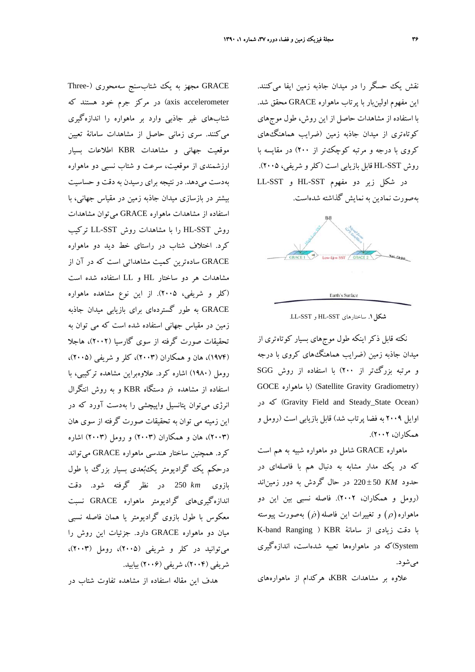نقش يك حسگر را در ميدان جاذبه زمين ايفا ميكنند. اين مفهوم اولينبار با پرتاب ماهواره GRACE محقق شد. با استفاده از مشاهدات حاصل از اين روش، طول موجهاي كوتاهتري از ميدان جاذبه زمين (ضرايب هماهنگهاي كروي با درجه و مرتبه كوچكتر از 200) در مقايسه با روش SST-HL قابل بازيابي است (كلرو شريفي، 2005). در شكل زير دو مفهوم SST-HL و SST-LL بهصورت نمادين به نمايش گذاشته شدهاست.



.LL-SST و HL-SST ساختارهاي **.1شكل**

نكته قابل ذكر اينكه طول موجهاي بسيار كوتاهتري از ميدان جاذبه زمين (ضرايب هماهنگهاي كروي با درجه و مرتبه بزرگتر از 200) با استفاده از روش SGG GOCE ماهواره با) (Satellite Gravity Gradiometry) در كه) Gravity Field and Steady\_State Ocean) اوايل 2009 به فضا پرتاب شد) قابل بازيابي است (رومل و همكاران، 2002).

ماهواره GRACE شامل دو ماهواره شبيه به هم است كه در يك مدار مشابه به دنبال هم با فاصلهاي در حدود *KM* ± 50 220 در حال گردش به دور زميناند (رومل و همكاران، 2002). فاصله نسبي بين اين دو ماهواره $(\rho)$  و تغييرات اين فاصله $(\rho)$  بهصورت پيوسته با دقت زيادي از سامانة KBR ) Ranging band-K System(كه در ماهوارهها تعبيه شدهاست، اندازهگيري ميشود.

علاوه بر مشاهدات KBR، هركدام از ماهوارههاي

GRACE مجهز به يك شتابسنج سهمحوري (-Three axis accelerometer) در مركز جرم خود هستند كه شتابهاي غير جاذبي وارد بر ماهواره را اندازهگيري ميكنند. سري زماني حاصل از مشاهدات سامانة تعيين موقعيت جهاني و مشاهدات KBR اطلاعات بسيار ارزشمندي از موقعيت، سرعت و شتاب نسبي دو ماهواره بهدست ميدهد. در نتيجه براي رسيدن به دقت و حساسيت بيشتر در بازسازي ميدان جاذبه زمين در مقياس جهاني، با استفاده از مشاهدات ماهواره GRACE ميتوان مشاهدات روش SST-HL را با مشاهدات روش SST-LL تركيب كرد. اختلاف شتاب در راستاي خط ديد دو ماهواره GRACE سادهترين كميت مشاهداتي است كه در آن از مشاهدات هر دو ساختار HL و LL استفاده شده است (كلر و شريفي، 2005). از اين نوع مشاهده ماهواره GRACE به طور گستردهاي براي بازيابي ميدان جاذبه زمين در مقياس جهاني استفاده شده است كه مي توان به تحقيقات صورت گرفته از سوي گارسيا (2002)، هاجلا (1974)، هان و همكاران (2003)، كلر و شريفي (2005)، رومل (1980) اشاره كرد. علاوهبراين مشاهده تركيبي، با استفاده از مشاهده  $\dot{\rho}$  دستگاه KBR و به روش انتگرال انرژي ميتوان پتانسيل واپيچشي را بهدست آورد كه در اين زمينه مي توان به تحقيقات صورت گرفته از سوي هان (2003)، هان و همكاران (2003) و رومل (2003) اشاره كرد. همچنين ساختار هندسي ماهواره GRACE ميتواند درحكم يك گراديومتر يكبعدي بسيار بزرگ با طول بازوي *km* 250 در نظر گرفته شود. دقت اندازهگيريهاي گراديومتر ماهواره GRACE نسبت معكوس با طول بازوي گراديومتر يا همان فاصله نسبي ميان دو ماهواره GRACE دارد. جزئيات اين روش را ميتوانيد در كلر و شريفي (2005)، رومل (2003)، شريفي (2004)، شريفي (2006) بيابيد.

هدف اين مقاله استفاده از مشاهده تفاوت شتاب در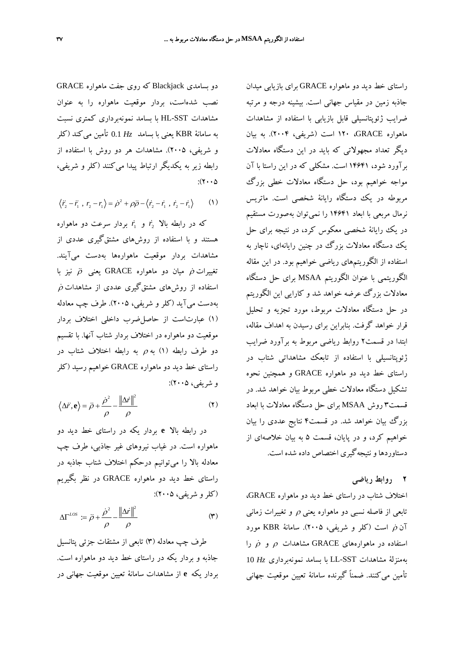راستاي خط ديد دو ماهواره GRACE براي بازيابي ميدان جاذبه زمين در مقياس جهاني است. بيشينه درجه و مرتبه ضرايب ژئوپتانسيلي قابل بازيابي با استفاده از مشاهدات ماهواره GRACE، 120 است (شريفي، 2004). به بيان ديگر تعداد مجهولاتي كه بايد در اين دستگاه معادلات برآورد شود، 14641 است. مشكلي كه در اين راستا با آن مواجه خواهيم بود، حل دستگاه معادلات خطي بزرگ مربوطه در يك دستگاه رايانة شخصي است. ماتريس نرمال مربعي با ابعاد 14641 را نميتوان بهصورت مستقيم در يك رايانة شخصي معكوس كرد، در نتيجه براي حل يك دستگاه معادلات بزرگ در چنين رايانهاي، ناچار به استفاده از الگوريتمهاي رياضي خواهيم بود. در اين مقاله الگوريتمي با عنوان الگوريتم MSAA براي حل دستگاه معادلات بزرگ عرضه خواهد شد و كارايي اين الگوريتم در حل دستگاه معادلات مربوط، مورد تجزيه و تحليل قرار خواهد گرفت. بنابراين براي رسيدن به اهداف مقاله، ابتدا در قسمت2 روابط رياضي مربوط به برآورد ضرايب ژئوپتانسيلي با استفاده از تابعك مشاهداتي شتاب در راستاي خط ديد دو ماهواره GRACE و همچنين نحوه تشكيل دستگاه معادلات خطي مربوط بيان خواهد شد. در قسمت3 روش MSAA براي حل دستگاه معادلات با ابعاد بزرگ بيان خواهد شد. در قسمت4 نتايج عددي را بيان خواهيم كرد، و در پايان، قسمت 5 به بيان خلاصهاي از دستاوردها و نتيجهگيري اختصاص داده شده است.

## **2 روابط رياضي**

اختلاف شتاب در راستاي خط ديد دو ماهواره GRACE، تابعي از فاصله نسبي دو ماهواره يعني <sup>ρ</sup> و تغييرات زماني آن  $\rho$  است (كلر و شريفي، ۲۰۰۵). سامانهٔ KBR مورد استفاده در ماهوارههای  $\alpha$ GRACE مشاهدات  $\rho$  و  $\dot{\rho}$  را بهمنزلة مشاهدات SST-LL با بسامد نمونهبرداري *Hz* 10 تأمين ميكنند. ضمناً گيرنده سامانة تعيين موقعيت جهاني

دو بسامدي Blackjack كه روي جفت ماهواره GRACE نصب شدهاست، بردار موقعيت ماهواره را به عنوان مشاهدات SST-HL با بسامد نمونهبرداري كمتري نسبت به سامانة KBR يعني با بسامد *Hz* 0.1 تأمين ميكند (كلر و شريفي، 2005). مشاهدات هر دو روش با استفاده از رابطه زير به يكديگر ارتباط پيدا ميكنند (كلر و شريفي،  $:(Y \cdot \cdot \Delta)$ 

$$
\langle \ddot{r}_2 - \ddot{r}_1, r_2 - r_1 \rangle = \dot{\rho}^2 + \rho \ddot{\rho} - \langle \dot{r}_2 - \dot{r}_1, \dot{r}_2 - \dot{r}_1 \rangle \tag{1}
$$

*r* بردار سرعت دو ماهواره <sup>1</sup> *r* و <sup>2</sup> كه در رابطه بالا هستند و با استفاده از روشهاي مشتقگيري عددي از مشاهدات بردار موقعيت ماهوارهها بهدست ميآيند. تغييرات $\ddot{\rho}$  ميان دو ماهواره GRACE يعني  $\ddot{\rho}$  نيز با  $\dot{\rho}$  استفاده از روش $\phi$ ای مشتق $\vec{z}$ یری عددی از مشاهدات بهدست ميآيد (كلر و شريفي، 2005). طرف چپ معادله (1) عبارتاست از حاصلضرب داخلي اختلاف بردار موقعيت دو ماهواره در اختلاف بردار شتاب آنها. با تقسيم دو طرف رابطه (1) به <sup>ρ</sup> به رابطه اختلاف شتاب در راستاي خط ديد دو ماهواره GRACE خواهيم رسيد (كلر و شريفي، 2005):

$$
\left\langle \Delta \ddot{r}, \mathbf{e} \right\rangle = \ddot{\rho} + \frac{\dot{\rho}^2}{\rho} - \frac{\left\| \Delta \dot{r} \right\|^2}{\rho} \tag{7}
$$

در رابطه بالا **e** بردار يكه در راستاي خط ديد دو ماهواره است. در غياب نيروهاي غير جاذبي، طرف چپ معادله بالا را ميتوانيم درحكم اختلاف شتاب جاذبه در راستاي خط ديد دو ماهواره GRACE در نظر بگيريم (كلرو شريفي، 2005):

$$
\Delta\Gamma^{LOS} := \ddot{\rho} + \frac{\dot{\rho}^2}{\rho} - \frac{\left\|\Delta\dot{r}\right\|^2}{\rho} \tag{7}
$$

طرف چپ معادله (3) تابعي از مشتقات جزئي پتانسيل جاذبه و بردار يكه در راستاي خط ديد دو ماهواره است. بردار يكه **e** از مشاهدات سامانة تعيين موقعيت جهاني در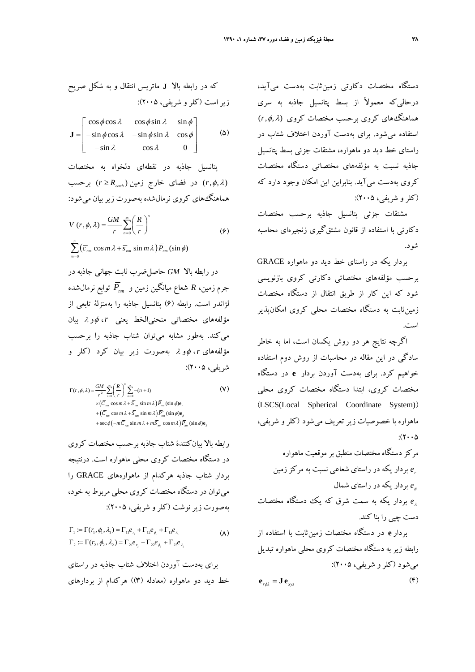دستگاه مختصات دكارتي زمينثابت بهدست ميآيد، درحاليكه معمولاً از بسط پتانسيل جاذبه به سري هماهنگهاي كروي برحسب مختصات كروي <sup>λ</sup> φ *r* ) ,,( استفاده ميشود. براي بهدست آوردن اختلاف شتاب در راستاي خط ديد دو ماهواره، مشتقات جزئي بسط پتانسيل جاذبه نسبت به مؤلفههاي مختصاتي دستگاه مختصات كروي بهدست ميآيد. بنابراين اين امكان وجود دارد كه (كلرو شريفي، 2005):

مشتقات جزئي پتانسيل جاذبه برحسب مختصات دكارتي با استفاده از قانون مشتقگيري زنجيرهاي محاسبه شود.

بردار يكه در راستاي خط ديد دو ماهواره GRACE برحسب مؤلفههاي مختصاتي دكارتي كروي بازنويسي شود كه اين كار از طريق انتقال از دستگاه مختصات زمينثابت به دستگاه مختصات محلي كروي امكانپذير است.

اگرچه نتايج هر دو روش يكسان است، اما به خاطر سادگي در اين مقاله در محاسبات از روش دوم استفاده خواهيم كرد. براي بهدست آوردن بردار **e** در دستگاه مختصات كروي، ابتدا دستگاه مختصات كروي محلي (LSCS(Local Spherical Coordinate System)) ماهواره با خصوصيات زير تعريف ميشود (كلر و شريفي،  $:(\Upsilon \cdot \cdot \Delta)$ 

مركز دستگاه مختصات منطبق برموقعيت ماهواره *e* بردار يكه در راستاي شعاعي نسبت به مركززمين *<sup>r</sup>* بردار يكه در راستاي شمال *e*<sup>φ</sup> بردار يكه به سمت شرق كه يك دستگاه مختصات *e*<sup>λ</sup> دست چپي را بنا كند. بردار **e** در دستگاه مختصات زمينثابت با استفاده از رابطه زير به دستگاه مختصات كروي محلي ماهواره تبديل ميشود (كلرو شريفي، 2005):

$$
\mathbf{e}_{r\phi\lambda} = \mathbf{J} \,\mathbf{e}_{\mathbf{x}\mathbf{y}\mathbf{z}} \tag{5}
$$

که در رابطه بالا **I** ماتریس انتقال و به شکل صریح  
زیر است (کلر و شریفی، ۲۰۰۵):  

$$
\mathbf{J} = \begin{bmatrix} \cos \phi \cos \lambda & \cos \phi \sin \lambda & \sin \phi \\ -\sin \phi \cos \lambda & -\sin \phi \sin \lambda & \cos \phi \\ -\sin \lambda & \cos \lambda & 0 \end{bmatrix}
$$
 (5)

پتانسيل جاذبه در نقطهاي دلخواه به مختصات ( ) ≥ زمين خارج فضاي در) , , ( *r* φ <sup>λ</sup> *earth* برحسب *r R* هماهنگهاي كروي نرمالشده بهصورت زيربيان ميشود:

$$
V(r, \phi, \lambda) = \frac{GM}{r} \sum_{n=0}^{\infty} \left(\frac{R}{r}\right)^n
$$
  

$$
\sum_{m=0}^{n} \left(\overline{c}_{nm} \cos m\lambda + \overline{s}_{nm} \sin m\lambda\right) \overline{P}_{nm} (\sin \phi)
$$
 (9)

در رابطه بالا *GM* حاصلضرب ثابت جهاني جاذبه در توابع نرمالشده *Pnm* جرم زمين، *R* شعاع ميانگين زمين و لژاندر است. رابطه (6) پتانسيل جاذبه را بهمنزلة تابعي از مؤلفههاي مختصاتي منحنيالخط يعني *r*، φو <sup>λ</sup> بيان ميكند. بهطور مشابه ميتوان شتاب جاذبه را برحسب مؤلفههاي *r*، φو <sup>λ</sup> بهصورت زير بيان كرد (كلر و شريفي، 2005):

$$
\Gamma(r, \phi, \lambda) = \frac{GM}{r^2} \sum_{n=0}^{\infty} \left(\frac{R}{r}\right)^n \sum_{m=0}^n -(n+1)
$$
\n
$$
\times \left(\overline{C}_{nm} \cos m \lambda + \overline{S}_{mn} \sin m \lambda\right) \overline{P}_{nm} \left(\sin \phi \right) \mathbf{e}_r + \left(\overline{C}_{nm} \cos m \lambda + \overline{S}_{nm} \sin m \lambda\right) \overline{P}'_{nm} \left(\sin \phi \right) \mathbf{e}_\phi + \sec \phi \left(-m \overline{C}_{nm} \sin m \lambda + m \overline{S}_{nm} \cos m \lambda\right) \overline{P}'_{nm} \left(\sin \phi \right) \mathbf{e}_\lambda
$$

رابطه بالا بيانكنندة شتاب جاذبه برحسب مختصات كروي در دستگاه مختصات كروي محلي ماهواره است. درنتيجه بردار شتاب جاذبه هركدام از ماهوارههاي GRACE را ميتوان در دستگاه مختصات كروي محلي مربوط به خود، بهصورت زير نوشت (كلرو شريفي، 2005):

$$
\Gamma_1 := \Gamma(r_1, \phi_1, \lambda_1) = \Gamma_{11} e_{r_1} + \Gamma_{12} e_{\phi_1} + \Gamma_{13} e_{\lambda_1}
$$
\n
$$
\Gamma_2 := \Gamma(r_2, \phi_2, \lambda_2) = \Gamma_{21} e_{r_2} + \Gamma_{22} e_{\phi_2} + \Gamma_{23} e_{\lambda_2}
$$
\n(A)

براي بهدست آوردن اختلاف شتاب جاذبه در راستاي خط ديد دو ماهواره (معادله (3)) هركدام از بردارهاي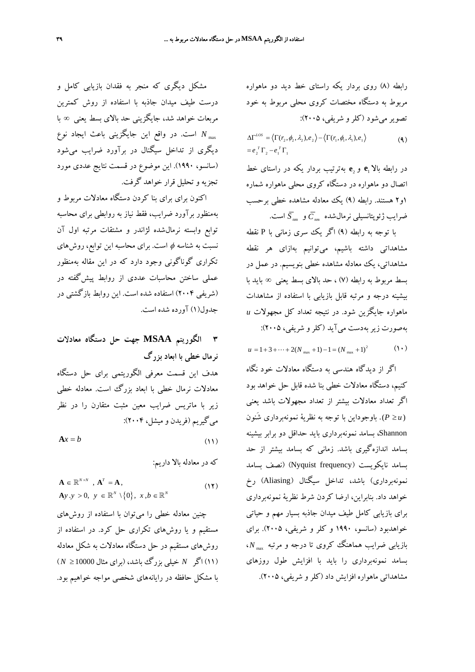رابطه (8) روي بردار يكه راستاي خط ديد دو ماهواره مربوط به دستگاه مختصات كروي محلي مربوط به خود تصويرميشود (كلرو شريفي، 2005):

$$
\Delta\Gamma^{LOS} = \langle \Gamma(r_2, \phi_2, \lambda_2), e_2 \rangle - \langle \Gamma(r_1, \phi_1, \lambda_1), e_1 \rangle
$$
  
=  $e_2^T \Gamma_2 - e_1^T \Gamma_1$  (4)

**e** بهترتيب بردار يكه در راستاي خط <sup>2</sup> **e** و <sup>1</sup> در رابطه بالا اتصال دو ماهواره در دستگاه كروي محلي ماهواره شماره 1و2 هستند. رابطه (9) يك معادله مشاهده خطي برحسب ضرايب ژئوپتانسيلي نرمالشده *Cnm* و *nm S* است.

با توجه به رابطه (9) اگر يك سري زماني با P نقطه مشاهداتي داشته باشيم، ميتوانيم بهازاي هر نقطه مشاهداتي، يك معادله مشاهده خطي بنويسيم. در عمل در بسط مربوط به رابطه (7) ، حد بالاي بسط يعني ∞ بايد با بيشينه درجه و مرتبه قابل بازيابي با استفاده از مشاهدات ماهواره جايگزين شود. در نتيجه تعداد كل مجهولات *u* بهصورت زيربهدست ميآيد (كلرو شريفي، 2005):

 $(1)$  $u = 1 + 3 + \dots + 2(N_{max} + 1) - 1 = (N_{max} + 1)^2$ 

اگر از ديدگاه هندسي به دستگاه معادلات خود نگاه كنيم، دستگاه معادلات خطي بنا شده قابل حل خواهد بود اگر تعداد معادلات بيشتر از تعداد مجهولات باشد يعني ≤ *u P*( ) . باوجوداين با توجه به نظرية نمونهبرداري شَنون Shannon، بسامد نمونهبرداري بايد حداقل دو برابر بيشينه بسامد اندازهگيري باشد. زماني كه بسامد بيشتر از حد بسامد نايكويست (frequency Nyquist) (نصف بسامد نمونهبرداري) باشد، تداخل سيگنال (Aliasing (رخ خواهد داد. بنابراين، ارضا كردن شرط نظرية نمونهبرداري براي بازيابي كامل طيف ميدان جاذبه بسيار مهم و حياتي خواهدبود (سانسو، 1990 و كلر و شريفي، 2005). براي ، max *N* بازيابي ضرايب هماهنگ كروي تا درجه و مرتبه بسامد نمونهبرداري را بايد با افزايش طول روزهاي مشاهداتي ماهواره افزايش داد (كلرو شريفي، 2005).

مشكل ديگري كه منجر به فقدان بازيابي كامل و درست طيف ميدان جاذبه با استفاده از روش كمترين مربعات خواهد شد، جايگزيني حد بالاي بسط يعني ∞ با . در واقع اين جايگزيني باعث ايجاد نوع max *N* است ديگري از تداخل سيگنال در برآورد ضرايب ميشود (سانسو، 1990). اين موضوع در قسمت نتايج عددي مورد تجزيه و تحليل قرار خواهد گرفت.

اكنون براي براي بنا كردن دستگاه معادلات مربوط و بهمنظور برآورد ضرايب، فقط نياز به روابطي براي محاسبه توابع وابسته نرمالشده لژاندر و مشتقات مرتبه اول آن نسبت به شناسه φ است. براي محاسبه اين توابع، روشهاي تكراري گوناگوني وجود دارد كه در اين مقاله بهمنظور عملي ساختن محاسبات عددي از روابط پيشگفته در (شريفي 2004) استفاده شده است. اين روابط بازگشتي در جدول(1) آورده شده است.

**3 الگوريتم MSAA جهت حل دستگاه معادلات نرمال خطي با ابعاد بزرگ**  هدف اين قسمت معرفي الگوريتمي براي حل دستگاه معادلات نرمال خطي با ابعاد بزرگ است. معادله خطي زير با ماتريس ضرايب معين مثبت متقارن را در نظر ميگيريم (فريدن و ميشل، 2004):  $A x = b$  (11)

كه در معادله بالا داريم:

$$
\mathbf{A} \in \mathbb{R}^{N \times N}, \mathbf{A}^{T} = \mathbf{A},
$$
  
\n
$$
\mathbf{A}y.y > 0, y \in \mathbb{R}^{N} \setminus \{0\}, x, b \in \mathbb{R}^{N}
$$
 (17)

چنين معادله خطي را ميتوان با استفاده از روشهاي مستقيم و يا روشهاي تكراري حل كرد. در استفاده از روشهاي مستقيم در حل دستگاه معادلات به شكل معادله (11) اگر *N* خيلي بزرگ باشد، (براي مثال 10000 ≤ *N* ( با مشكل حافظه در رايانههاي شخصي مواجه خواهيم بود.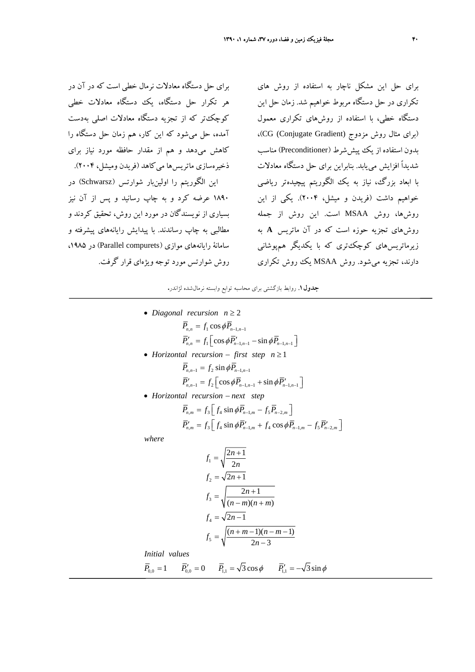براي حل دستگاه معادلات نرمال خطي است كه در آن در هر تكرار حل دستگاه، يك دستگاه معادلات خطي كوچكتر كه از تجزيه دستگاه معادلات اصلي بهدست آمده، حل ميشود كه اين كار، هم زمان حل دستگاه را كاهش ميدهد و هم از مقدار حافظه مورد نياز براي ذخيرهسازي ماتريسها ميكاهد (فريدن وميشل، 2004). اين الگوريتم را اولينبار شوارتس (Schwarsz) در 1890 عرضه كرد و به چاپ رسانيد و پس از آن نيز بسياري از نويسندگان در مورد اين روش، تحقيق كردند و مطالبي به چاپ رساندند. با پيدايش رايانههاي پيشرفته و سامانهٔ رايانههاي موازي (Parallel compurets) در ۱۹۸۵، روش شوارتس مورد توجه ويژهاي قرار گرفت.

براي حل اين مشكل ناچار به استفاده از روش هاي تكراري در حل دستگاه مربوط خواهيم شد. زمان حل اين دستگاه خطي، با استفاده از روشهاي تكراري معمول (برای مثال روش مزدوج (CG (Conjugate Gradient)، بدون استفاده از يك پيش شرط (Preconditioner) مناسب شديداً افزايش مييابد. بنابراين براي حل دستگاه معادلات با ابعاد بزرگ، نياز به يك الگوريتم پيچيدهتر رياضي خواهيم داشت (فريدن و ميشل، 2004). يكي از اين روشها، روش MSAA است. اين روش از جمله روشهاي تجزيه حوزه است كه در آن ماتريس **A** به زيرماتريسهاي كوچكتري كه با يكديگر همپوشاني دارند، تجزيه ميشود. روش MSAA يك روش تكراري

**جدول.1** روابط بازگشتي براي محاسبه توابع وابسته نرمالشده لژاندر**.** 

\n- Diagonal recursion 
$$
n \geq 2
$$
\n $\overline{P}_{n,n} = f_1 \cos \phi \overline{P}_{n-1,n-1}$ \n $\overline{P}'_{n,n} = f_1 \left[ \cos \phi \overline{P}_{n-1,n-1} - \sin \phi \overline{P}_{n-1,n-1} \right]$ \n
\n- Horizontal recursion  $-\text{ first step } n \geq 1$ \n $\overline{P}_{n,n-1} = f_2 \sin \phi \overline{P}_{n-1,n-1}$ \n $\overline{P}'_{n,n-1} = f_2 \left[ \cos \phi \overline{P}_{n-1,n-1} + \sin \phi \overline{P}'_{n-1,n-1} \right]$ \n
\n- Horizontal recursion  $-\text{next step}$ \n $\overline{P}_{n,m} = f_3 \left[ f_4 \sin \phi \overline{P}_{n-1,m} - f_5 \overline{P}_{n-2,m} \right]$ \n $\overline{P}'_{n,m} = f_3 \left[ f_4 \sin \phi \overline{P}'_{n-1,m} + f_4 \cos \phi \overline{P}_{n-1,m} - f_5 \overline{P}'_{n-2,m} \right]$ \n
\n

*where*

$$
f_1 = \sqrt{\frac{2n+1}{2n}}
$$
  
\n
$$
f_2 = \sqrt{2n+1}
$$
  
\n
$$
f_3 = \sqrt{\frac{2n+1}{(n-m)(n+m)}}
$$
  
\n
$$
f_4 = \sqrt{2n-1}
$$
  
\n
$$
f_5 = \sqrt{\frac{(n+m-1)(n-m-1)}{2n-3}}
$$

*Initial values*

$$
\overline{P}_{0,0} = 1 \qquad \overline{P}_{0,0}' = 0 \qquad \overline{P}_{1,1} = \sqrt{3}\cos\phi \qquad \overline{P}_{1,1}' = -\sqrt{3}\sin\phi
$$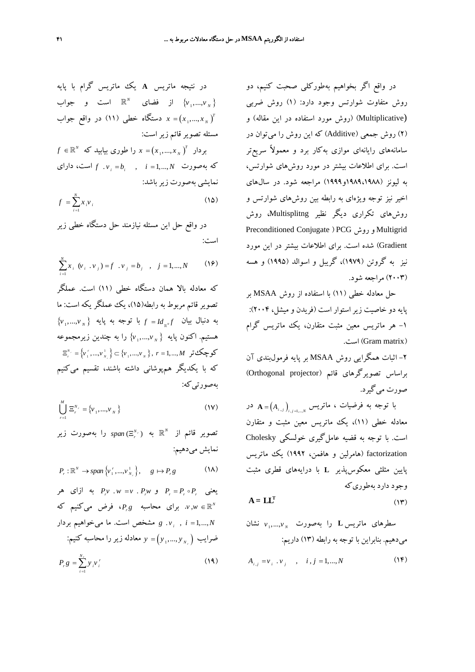در واقع اگر بخواهيم بهطوركلي صحبت كنيم، دو روش متفاوت شوارتس وجود دارد: (1) روش ضربي (Multiplicative) (روش مورد استفاده در اين مقاله) و (2) روش جمعي (Additive (كه اين روش را ميتوان در سامانههاي رايانهاي موازي بهكار برد و معمولاً سريعتر است. براي اطلاعات بيشتر در مورد روشهاي شوارتس، به ليونز (1989،1988و1999) مراجعه شود. در سالهاي اخير نيز توجه ويژهاي به رابطه بين روشهاي شوارتس و روشهاي تكراري ديگر نظير Multisplitng، روش Preconditioned Conjugate ) PCG روش و Multigrid Gradient (شده است. براي اطلاعات بيشتر در اين مورد نيز به گروتن (1979)، گريبل و اسوالد (1995) و هسه (2003) مراجعه شود.

حل معادله خطي (11) با استفاده از روش MSAA بر پايه دو خاصيت زيراستوار است (فريدن و ميشل، 2004): -1 هر ماتريس معين مثبت متقارن، يك ماتريس گرام .است) Gram matrix)

-2 اثبات همگرايي روش MSAA بر پايه فرمولبندي آن براساس تصويرگرهاي قائم (Orthogonal projector) صورت ميگيرد.

 $\mathbf{A} = \left( A_{i_{.,j}} \right)_{\!\!\!i_{.,j=1,...,N}}$ ا توجه به فرضيات ، ماتريس معادله خطي (11)، يك ماتريس معين مثبت و متقارن است. با توجه به قضيه عاملگيري خولسكي Cholesky factorization) هامرلين و هافمن، 1992) يك ماتريس پايين مثلثي معكوسپذير **L** با درايههاي قطري مثبت وجود دارد بهطوريكه

$$
A = LLT
$$
 (17)

سطرهای ماتریس L را بهصورت
$$
v_1, \ldots, v_N
$$
نشان  
میدهیم. بنابرانی با توجه به رابطه (۱۳) داریم:

$$
A_{i,j} = \mathbf{v}_i \cdot \mathbf{v}_j \quad , \quad i,j = 1,...,N \tag{17}
$$

$$
\begin{aligned}\n &\text{if } \langle v_1, \ldots, v_n \rangle \\
&\text{if } \langle v_1, \ldots, v_n \rangle \\
&\text{if } \langle v_1, \ldots, v_n \rangle \\
&\text{if } \langle v_1, \ldots, v_n \rangle \\
&\text{if } \langle v_1, \ldots, v_n \rangle \\
&\text{if } \langle v_1, \ldots, v_n \rangle \\
&\text{if } \langle v_1, \ldots, v_n \rangle \\
&\text{if } \langle v_1, \ldots, v_n \rangle \\
&\text{if } \langle v_1, \ldots, v_n \rangle \\
&\text{if } \langle v_1, \ldots, v_n \rangle \\
&\text{if } \langle v_1, \ldots, v_n \rangle \\
&\text{if } \langle v_1, \ldots, v_n \rangle \\
&\text{if } \langle v_1, \ldots, v_n \rangle \\
&\text{if } \langle v_1, \ldots, v_n \rangle \\
&\text{if } \langle v_1, \ldots, v_n \rangle \\
&\text{if } \langle v_1, \ldots, v_n \rangle \\
&\text{if } \langle v_1, \ldots, v_n \rangle \\
&\text{if } \langle v_1, \ldots, v_n \rangle \\
&\text{if } \langle v_1, \ldots, v_n \rangle \\
&\text{if } \langle v_1, \ldots, v_n \rangle \\
&\text{if } \langle v_1, \ldots, v_n \rangle \\
&\text{if } \langle v_1, \ldots, v_n \rangle \\
&\text{if } \langle v_1, \ldots, v_n \rangle \\
&\text{if } \langle v_1, \ldots, v_n \rangle \\
&\text{if } \langle v_1, \ldots, v_n \rangle \\
&\text{if } \langle v_1, \ldots, v_n \rangle \\
&\text{if } \langle v_1, \ldots, v_n \rangle \\
&\text{if } \langle v_1, \ldots, v_n \rangle \\
&\text{if } \langle v_1, \ldots, v_n \rangle \\
&\text{if } \langle v_1, \ldots, v_n \rangle \\
&\text{if } \langle v_1, \ldots, v_n \rangle \\
&\text{if } \langle v_1, \ldots, v_n \rangle \\
&\text{if } \langle v_1, \ldots, v_n \rangle \\
&\text{if } \langle v_1, \ldots, v_n \rangle \\
&\text
$$

در نتيجه ماتريس **A** يك ماتريس گرام با پايه

در واقع حل اين مسئله نيازمند حل دستگاه خطي زير است:

$$
\sum_{i=1}^{N} x_i (\nu_i \cdot \nu_j) = f \cdot \nu_j = b_j \quad , \quad j = 1, \dots, N \tag{19}
$$

تصوير قائم مربوط به رابطه(15)، يك عملگر يكه است: ما  $\big\{\mathcal{v}_{_1},...,\mathcal{v}_{_N} \big\}$  به دنبال بيان  $f = Id_{_{\mathbb{R}^N}}f$  با توجه به پايه هستيم. اكنون پايه { <sub>v</sub>,...,v <sub>x</sub> } را به چندين زيرمجموعه  $\Xi_r^{^{N_r}}= \left\{ \stackrel{\cdot}{\nu}_1^r,...,\stackrel{\cdot}{\nu}_{_{N_r}}\right\} \subset \left\{ \stackrel{\cdot}{\nu}_1^r,...,\stackrel{\cdot}{\nu}_{_{N_r}}\right\},\; r=1,...,M$  کوچک  $\left\{V_{r}^{N_{r}}=\left\{V_{1}^{r},...,V_{N}^{1}\right\}\right\}\subset\left\{V_{1},...,V_{N}\right\},\;r=1,...,M$ كه با يكديگر همپوشاني داشته باشند، تقسيم ميكنيم به صورتي كه:

$$
\bigcup_{r=1}^{M} \Xi_{r}^{N_{r}} = \{v_{1},...,v_{N}\}
$$
 (1V)

 $span\, (\Xi_r^{\scriptscriptstyle N_{\,\cdot}\,})$  به  $span\, (\Xi_r^{\scriptscriptstyle N_{\,\cdot}\,})$  را بهصورت زير نمايش ميدهيم:

$$
P_r: \mathbb{R}^N \to span \{v_1^r, ..., v_{N_r}^1\}, \quad g \mapsto P_r g \tag{1A}
$$

یعنی  $P_r = P_r \circ P_r$  و  $P_r w = v \circ P_r$  به ازای هر *w v*. براي محاسبه *g Pr* ، فرض ميكنيم كه *<sup>N</sup>* ∈\, *N vi g* مشخص است. ما ميخواهيم بردار *<sup>i</sup>* = 1,..., , . ( ) ضرايب <sup>1</sup> = ,..., *<sup>N</sup> <sup>r</sup> y yy* معادله زيررا محاسبه كنيم:

$$
P_r g = \sum_{i=1}^{N_r} y_i v_i^r \tag{14}
$$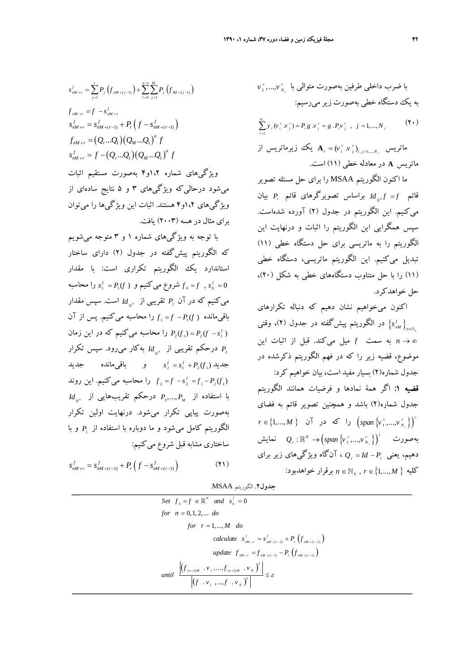$$
s_{nM+r}^{f} = \sum_{j=1}^{r} P_{j} \left( f_{nM+(j-1)} \right) + \sum_{l=0}^{n-1} \sum_{j=1}^{M} P_{j} \left( f_{lM+(j-1)} \right)
$$
  

$$
f_{nM+r} = f - s_{nM+r}^{f}
$$
  

$$
s_{nM+r}^{f} = s_{nM+(r-1)}^{f} + P_{r} \left( f - s_{nM+(r-1)}^{f} \right)
$$
  

$$
f_{nM+r} = \left( Q_{r} ... Q_{1} \right) \left( Q_{M} ... Q_{1} \right)^{n} f
$$
  

$$
s_{nM+r}^{f} = f - \left( Q_{r} ... Q_{1} \right) \left( Q_{M} ... Q_{1} \right)^{n} f
$$

ويژگيهاي شماره 1،2و4 بهصورت مستقيم اثبات ميشود درحاليكه ويژگيهاي 3 و 5 نتايج سادهاي از ويژگيهاي 1،2و4 هستند. اثبات اين ويژگيها را ميتوان براي مثال در هسه (2003) يافت.

با توجه به ويژگيهاي شماره 1 و 3 متوجه ميشويم كه الگوريتم پيشگفته در جدول (2) داراي ساختار استاندارد يك الگوريتم تكراري است: با مقدار  $s_1^f = P_1(f)$  شروع می كنيم و  $s_1^f = P_1(f)$  را محاسبه  $f_0 = f$  ,  $s_0^f = 0$ می کنیم که در آن  $P_{_{\rm I}}$  تقریبی از  $d_{_{\mathbb R^N}}$  است. سپس مقدار  $f_1 = f - P_1(f)$  باقی مانده ( *)<sub>t</sub> = f − P<sub>1</sub>(f با*قی مانده *s Pf f P* را محاسبه ميكنيم كه در اين زمان *<sup>f</sup>* − () ( ) = 1 2 21 بهكار ميرود. سپس تكرار *<sup>N</sup> Id* \ درحكم تقريبي از <sup>2</sup>*<sup>P</sup>*  $s_2^f = s_1^f + P_2(f_1)$  جديد  $s_2^f = s_1^f + P_1(f_1)$ را محاسبه می كنيم. اين روند  $f, f = -s_2^f = -r_1 - P_2(f_1)$  $Id_{\mathbb{R}^N}$  با استفاده از  $P_3,..., P_M$  درحكم تقريب هايي از بهصورت پياپي تكرار ميشود. درنهايت اولين تكرار و با <sup>1</sup>*P* الگوريتم كامل ميشود و ما دوباره با استفاده از ساختاري مشابه قبل شروع مي كنيم:

 $s_{nM+r}^f = s_{nM+(r-1)}^f + P_r(f - s_{nM+(r-1)}^f)$  (**1**)

به يك دستگاه خطي بهصورت زيرميرسيم:  $(\Upsilon)$ 1  $\sum_{i=1}^{N_r} y_i (v_i^r v_j^r) = P_r g v_j^r = g P_r v_j^r, \quad j = 1, ..., N$ = *i <sup>r</sup>*) <sup>=</sup> = . (1,..., , ماتريس *r r r i j ij N* از زيرماتريس يك **A** *v v* ماتريس **A** در معادله خطي (11) است.

*<sup>r</sup>* ,..., <sup>1</sup> با ضرب داخلي طرفين بهصورت متوالي با *r r <sup>N</sup> v v*

ما اكنون الگوريتم MSAA را براي حل مسئله تصوير بيان *Pr* براساس تصويرگرهاي قائم *<sup>N</sup> f f Id* \ قائم <sup>=</sup> ميكنيم. اين الگوريتم در جدول (2) آورده شدهاست. سپس همگرايي اين الگوريتم را اثبات و درنهايت اين الگوريتم را به ماتريسي براي حل دستگاه خطي (11) تبديل ميكنيم. اين الگوريتم ماتريسي، دستگاه خطي (11) را با حل متناوب دستگاههاي خطي به شكل (20)، حل خواهدكرد.

اكنون ميخواهيم نشان دهيم كه دنباله تكرارهاي در الگوريتم پيشگفته در جدول (٢)، وقت<u>ي</u> ( $\left\{ \boldsymbol{s}_{_{\text{nM}}}^{^f}\right\} _{_{n\in\mathbb{N}_0}}$ ∞ → *n* به سمت *f* ميل ميكند. قبل از اثبات اين موضوع، قضيه زير را كه در فهم الگوريتم ذكرشده در جدول شماره(2) بسيار مفيد است، بيان خواهيم كرد: قضيه :1 اگر همة نمادها و فرضيات همانند الگوريتم جدول شماره(2) باشد و همچنين تصوير قائم به فضاي  $\left( span\left\{ v_{1}^{r},...,v_{N_{s}}^{r}\right\} \right) ^{\perp}$ *r r <sup>N</sup> r M* ∈{1,..., } آن در كه را *span v v*  $Q_{_{r}}: \mathbb{R}^N \rightarrow \left ( span\left \{ \stackrel{r}{\nu_1},...,\stackrel{r}{\nu_{_{N_{_{r}}}}}\right \} \right )^{\perp}$  نمايش ، آنگاه ويژگيهاي زير براي *r r P Id Q* دهيم، يعني − = 1,...,  $n \in \mathbb{N}_0$  ,  $r \in \{1,...,M\}$  كليه  $n \in \mathbb{N}_0$  ,  $r \in \{1,...,M\}$ 

**جدول.2** الگوريتم MSAA.

Set 
$$
f_0 = f \in \mathbb{R}^N
$$
 and  $s_0^f = 0$   
\nfor  $n = 0, 1, 2, ...$  do  
\nfor  $r = 1, ..., M$  do  
\ncalculate  $s_{nM+r}^f = s_{nM+(r-1)}^f + P_r(f_{nM+(r-1)})$   
\nupdate  $f_{nM+r} = f_{nM+(r-1)} - P_r(f_{nM+(r-1)})$   
\nuntil 
$$
\frac{\left| (f_{(n+1)M} \cdot v_1, ..., f_{(n+1)M} \cdot v_N)^T \right|}{\left| (f \cdot v_1, ..., f \cdot v_N)^T \right|} \leq \varepsilon
$$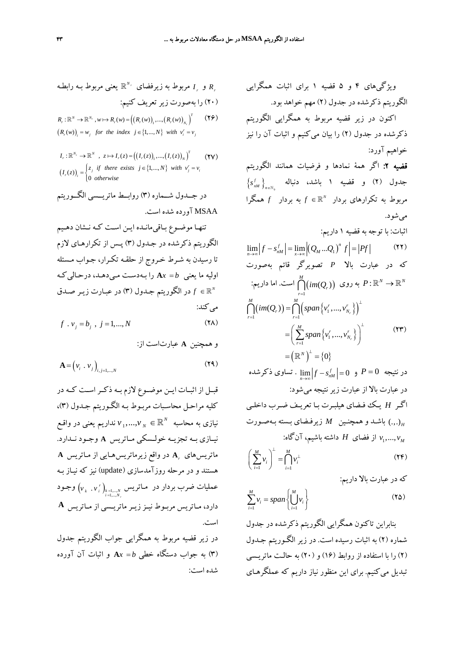$$
R_r
$$
 و ہ
$$
R_r
$$
 و ہریروط به زیرفضای ۱۳/۷ و ہے ۱۰ و ہے ہیریف کنیم:  
۲۰) را بهصورت زیر تعریف کنیم:  

$$
R_r: \mathbb{R}^N \to \mathbb{R}^{N_r}, w \mapsto R_r(w) = ((R_r(w))_1, ..., (R_r(w))_{N_r})^T
$$

$$
(R_r(w))_i = w_j \text{ for the index } j \in \{1, ..., N\} \text{ with } v'_i = v_j
$$

 $I_r : \mathbb{R}^{N_r} \to \mathbb{R}^N$ ,  $z \mapsto I_r(z) = ((I_r(z))_1, ..., (I_r(z))_N)^T$  (**YV**)  $(I_r(z))_i = \begin{cases} z_j & \text{if there exists } j \in \{1, ..., N\} \text{ with } v'_j = v_i \\ 0 & \text{otherwise.} \end{cases}$ 0 *otherwise* ⎪⎩

در جــدول شــماره (3) روابــط ماتريــسي الگــوريتم MSAA آورده شده است.

تنهـا موضـوع بـاقيمانـده ايـن اسـت كـه نـشان دهـيم الگوريتم ذكرشده در جـدول (3) پـس از تكرارهـاي لازم تا رسيدن به شـرط خـروج از حلقـه تكـرار، جـواب مـسئله اوليه ما يعني A $x = b$  را بـهدست مـيدهـد، درحـالي كـه *f* در الگوريتم جـدول (3) در عبـارت زيـر صـدق *<sup>N</sup>*∈ \ مي كند:

$$
f \cdot v_j = b_j \quad j = 1, \dots, N \tag{YA}
$$

و همچنين **A** عبارتاست از:

$$
\mathbf{A} = \left(v_i \cdot v_j\right)_{i,j=1,\dots,N} \tag{Y4}
$$

قبــل از اثبــات ايــن موضــوع لازم بــه ذكــراســت كــه در كليه مراحـل محاسـبات مربـوط بـه الگـوري تم جـدول (3)،  $\bm{v}_1,...,\bm{v}_N \in \mathbb{R}^N$  نداريم يعني در واقـع نيــازي بــه تجزيــه خولــسكي مــاتريس **A** وجــود نــدارد. در واقع زيرماتريسهـايي از مـاتريس **A A***<sup>r</sup>* ماتريسهاي هستند و در مرحله روزآمدسازي (update (نيز كه نيـاز بـه  $\left({\nu}_{{}_k} \; . \; {\nu}^{\; r}_i\right)_{{}^{k=1,...,N}_{i=1,...,N_{r}}}$ مملیات ضرب بردار در مـاتریس *r k i k N i N* وجـود *v v* دارد، مـاتريس مربـوط نيـززيـر ماتريـسي از مـاتريس **<sup>A</sup>** است.

در زير قضيه مربوط به همگرايي جواب الگوريتم جدول (3) به جواب دستگاه خطي *b* = **A***x* و اثبات آن آورده شده است:

ویژگیهای ۴ و ه نضیه ۱ برای اثبات همگرایی  
\nالگوریتم ذکرشده در جلول ۲۰ ره په مخوامد بود.  
\nاکون در زیر قضیه مربوط به همگرایی الگوریتم  
\nخولمیم آورد:  
\nدکرشده در جلول (۲) را بیان می کنیم و اثبات آن را نیز  
\nفهیه ۲: اگر همه نمادها و فرضیات همانند الگوریتم  
\nخولمیم آررد.  
\n۱۰۰۷ و قضیه ۱ باشده، دناله  
\n
$$
\{s'_{nM}\}_{n\in\mathbb{N}_{0}}
$$
 و دایس ۱ و نفیه ۱ باشده، دناله  
\n
$$
\lim_{n\to\infty} |f - s'_{nM}| = \lim_{x\to\infty} |(Q_M...Q_1)^n f| = |Pf|
$$
 (۲۲)  
\n
$$
\lim_{n\to\infty} |f - s'_{nM}| = \lim_{x\to\infty} |(Q_M...Q_1)^n f| = |Pf|
$$
 (۲۲)  
\n
$$
\sum_{n=1}^{M} |(im(Q_n)) = \bigcap_{r=1}^{M} (im(Q_r)) g(n) \text{ as } P: \mathbb{R}^N \to \mathbb{R}^N
$$
  
\n
$$
\bigcap_{r=1}^{M} (im(Q_r)) = \bigcap_{r=1}^{M} (span\{v'_1,...,v'_{N_r}\})^{\perp}
$$
  
\n
$$
= (\sum_{r=1}^{M} span\{v'_1,...,v'_{N_r}\})^{\perp}
$$
  
\n
$$
= (\sum_{r=1}^{M} span\{v'_1,...,v'_{N_r}\})^{\perp}
$$
  
\n
$$
= (\sum_{r=1}^{M} span\{v'_1,...,v'_{N_r}\})^{\perp}
$$
  
\n
$$
= (e^{N})^{\perp} = 0
$$
  
\n
$$
e^{i\frac{1}{N}} = 0
$$
  
\n
$$
e^{i\frac{1}{N}} = 0
$$
  
\n
$$
e^{i\frac{1}{N}} = 0
$$
  
\n
$$

$$

$$
\left(\sum_{i=1}^{M} v_i\right)^{\perp} = \bigcap_{i=1}^{M} v_i^{\perp}
$$
\n
$$
(Y\mathcal{F})
$$

كه در عبارت بالا داريم:

$$
\sum_{i=1}^{M} v_i = span \left\{ \bigcup_{i=1}^{M} v_i \right\} \tag{7\Delta}
$$

بنابراين تاكنون همگرايي الگوريتم ذكرشده در جدول شماره (2) به اثبات رسيده است. در زير الگـوريتم جـدول (2) را با استفاده از روابط (16) و (20) به حالـت ماتريـسي تبديل ميكنيم. براي اين منظور نياز داريم كه عملگرهـاي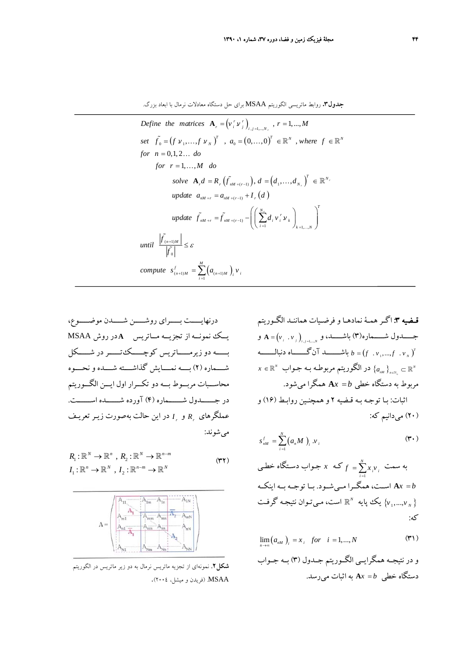**جدول.3** روابط ماتريسي الگوريتم MSAA براي حل دستگاه معادلات نرمال با ابعاد بزرگ.

Define the matrices 
$$
\mathbf{A}_r = (v_i^r v_j^r)_{i,j=1,\dots,N}
$$
,  $r = 1,\dots,M$   
\nset  $\tilde{f}_0 = (f v_1, \dots, f v_N)^T$ ,  $a_0 = (0,\dots,0)^T \in \mathbb{R}^N$ , where  $f \in \mathbb{R}^N$   
\nfor  $n = 0,1,2\dots$  do  
\nfor  $r = 1,\dots,M$  do  
\nsolve  $\mathbf{A}_r d = R_r(\tilde{f}_{nM+(r-1)}), d = (d_1, \dots, d_{N_r})^T \in \mathbb{R}^{N_r}$   
\nupdate  $a_{nM+r} = a_{nM+(r-1)} + I_r(d)$   
\nupdate  $\tilde{f}_{nM+r} = \tilde{f}_{nM+(r-1)} - (\sum_{i=1}^{N_r} d_i v_i^r v_k)_{k=1,\dots,N}^T$   
\nuntil  $\frac{|\tilde{f}_{(n+1)M}|}{|\tilde{f}_0|} \leq \varepsilon$   
\ncompute  $s_{(n+1)M}' = \sum_{i=1}^{M} (a_{(n+1)M})_i v_i$ 

درنهايـــــت بـــــراي روشـــــن شـــــدن موضـــــوع، يــك نمونــه از تجزيــه مــاتريس **A** در روش MSAA بـــــه دو زيرمـــــاتريس كوچـــــكتـــــردر شـــــكل شــــماره (2) بــــه نمــــايش گذاشــــته شــــده و نحــــوه محاســـبات مربـــوط بـــه دو تكـــرار اول ايـــن الگـــوريتم در جــــــدول شــــــماره (4) آورده شــــــده اســــــت. *I* در اين حالت به صورت زيـر تعريـف *<sup>r</sup>* و *Rr* عملگرهاي ميشوند:

$$
R_1: \mathbb{R}^N \to \mathbb{R}^n, R_2: \mathbb{R}^N \to \mathbb{R}^{n-m}
$$
  

$$
I_1: \mathbb{R}^n \to \mathbb{R}^N, I_2: \mathbb{R}^{n-m} \to \mathbb{R}^N
$$
 (YY)



**شكل.2** نمونهاي از تجزيه ماتريس نرمال به دو زير ماتريس در الگوريتم MSAA.) فريدن و ميشل، 2004).

قـضيه :3 اگـر همـة نمادهـا و فرضـيات هماننـد الگـوريتم *N ij j i* <sup>=</sup> <sup>=</sup> . 1,..., , جـــــدول شـــــماره(3) باشـــــد، و ( ) و **A** *v v* ( ) <sup>1</sup> <sup>=</sup> . ,..., . *<sup>T</sup> <sup>N</sup>* دنبالـــــــه آنگـــــــاه باشـــــــد *b fv fv* { } <sup>0</sup> <sup>∈</sup> <sup>⊂</sup> ` \*<sup>N</sup> N <sup>a</sup>* در الگوريتم مربوطـه بـه جـواب \ <sup>∋</sup> *<sup>n</sup> nM x* مربوط به دستگاه خطي *b* = **A***x* همگرا ميشود. اثبات: بـا توجـه بـه قـضيه 2 و همچنـين روابـط (16) و (20) ميدانيم كه:

$$
s_{nM}^f = \sum_{i=1}^N (a_n M)_{i} v_{i}
$$
 (7.1)

 $=\sum_{i=1}^N x_i{\bf v}_i$  به سمت که  $x$  جـواب دسـتگاه خطـی  $f = \sum_{i=1}^{}{x_i}$ *b* = **A***x* اســت، همگــرا مــيشــود. بــا توجــه بــه اينكــه است، مـيتـوان نتيجـه گرفـت **X** إيك پايه  $\mathbb{R}^N$  است، مـيتـوان نتيجـه گرفـت كه:

$$
\lim_{n \to \infty} (a_{nM})_i = x_i \quad \text{for} \quad i = 1, \dots, N \tag{N}
$$

و در نتيجــه همگرايــي الگــوريتم جــدول (3) بــه جــواب دستگاه خطي *b* = **A***x* به اثبات ميرسد.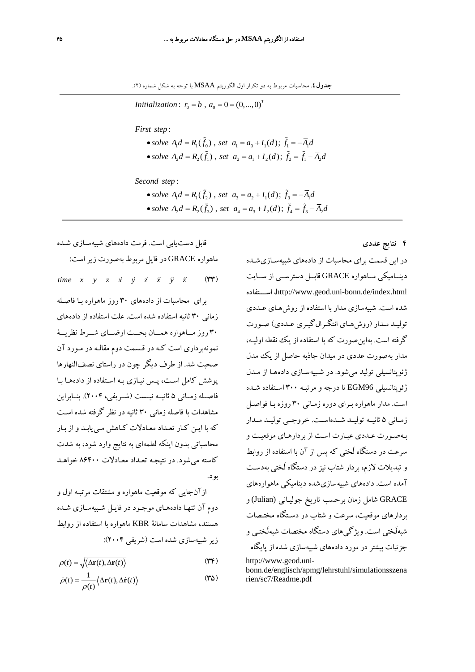*Initialization*:  $r_0 = b$ ,  $a_0 = 0 = (0, ..., 0)^T$ 

: *First step*

• solve  $A_1d = R_1(\tilde{f}_0)$ , set  $a_1 = a_0 + I_1(d)$ ;  $\tilde{f}_1 = -\overline{A}_1d$ • solve  $A_2d = R_2(\tilde{f}_1)$ , set  $a_2 = a_1 + I_2(d)$ ;  $\tilde{f}_2 = \tilde{f}_1 - \overline{A}_2d$ 

: *Second step*

• solve  $A_1d = R_1(\tilde{f}_2)$ , set  $a_3 = a_2 + I_1(d)$ ;  $\tilde{f}_3 = -\overline{A}_1d$ • solve  $A_2d = R_2(\tilde{f}_3)$ , set  $a_4 = a_3 + I_2(d)$ ;  $\tilde{f}_4 = \tilde{f}_3 - \overline{A}_2d$ 

**4 نتايج عددي** 

 $\ddot{\phantom{0}}$ 

در اين قسمت براي محاسبات از داده هاي شبيه سـازي شـده دينــاميكي مــاهواره GRACE قابــل دسترســي از ســايت اســـتفاده ،http://www.geod.uni-bonn.de/index.html شده است. شبيهسازي مدار با استفاده از روشهـاي عـددي توليـد مـدار (روشهـاي انتگـرالگيـري عـددي) صـورت گرفته است. به اين صورت كه با استفاده از يك نقطه اوليـه، مدار بهصورت عددي در ميدان جاذبه حاصل از يك مدل ژئوپتانسيلي توليد ميشود. در شـبيه سـازي دادههـا از مـدل ژئوپتانسيلي 96EGM تا درجه و مرتبـه 300 اسـتفاده شـده است. مدار ماهواره بـراي دوره زمـاني 30 روزه بـا فواصـل زمــاني 5 ثانيــه توليــد شــدهاســت. خروجــي توليــد مــدار بـهصـورت عـددي عبـارت اسـت از بردارهـاي موقعيـت و سرعت در دستگاه لَختي كه پس از آن با استفاده از روابط و تبديلات لازم، بردار شتاب نيز در دستگاه لَختي به دسـت آمده است. دادههاي شبيه سازي شده ديناميكي ماهواره هاي GRACE شامل زمان برحسب تاريخ ج وليـاني (Julian (و بردارهاي موقعيت، سرعت و شتاب در دسـتگاه مختـصات شبهلَختي است. ويژگيهاي دستگاه مختصات شبهلَختـي و جزئيات بيشتردر مورد دادههاي شبيهسازي شده از پايگاه http://www.geod.uni-

bonn.de/englisch/apmg/lehrstuhl/simulationsszena rien/sc7/Readme.pdf

قابل دستيابي است. فرمت دادههاي شبيهسـازي شـده ماهواره GRACE در فايل مربوط بهصورت زيراست: *time*  $x \quad y \quad z \quad \dot{x} \quad \dot{y} \quad \dot{z} \quad \ddot{x} \quad \ddot{y} \quad \ddot{z} \quad (\text{YY})$ براي محاسبات از داده هاي 30 روز ماهواره بـا فاصـله زماني 30 ثانيه استفاده شده است . علت استفاده از داده هاي 30 روز مـــاهواره همـــان بحـــث ارضـــاي شـــرط نظريـــة نمونهبرداري است كـه در قـسمت دوم مقالـه در مـورد آن صحبت شد. از طرف ديگر چون در راستاي نصف النهارها پوشش كامل اسـت، پـس نيـازي بـه اسـتفاده از داده هـا بـا فاصــله زمــاني 5 ثانيــه نيــست (شــريفي، 2004). بنــابراين مشاهدات با فاصله زماني 30 ثانيه در نظر گرفته شده اسـت كه با ايـن كـار تعـداد معـادلات كـاهش مـي يابـد و از بـار محاسباتي بدون اينكه لطمهاي به نتايج وارد شود، به شدت كاسته ميشود. در نتيجـه تعـداد معـادلات 86400 خواهـد بود.

ازآنجايي كه موقعيت ماهواره و مشتقات مرتبـه اول و دوم آن تنهـا دادههـاي موجـود در فايـل شـبيهسـازي شـده هستند، مشاهدات سامانة KBR ماهواره با استفاده از روابط زير شبيهسازي شده است (شريفي 2004):

$$
\rho(t) = \sqrt{\langle \Delta \mathbf{r}(t), \Delta \mathbf{r}(t) \rangle}
$$
 (TF)

$$
\dot{\rho}(t) = \frac{1}{\rho(t)} \langle \Delta \mathbf{r}(t), \Delta \dot{\mathbf{r}}(t) \rangle \tag{4.6}
$$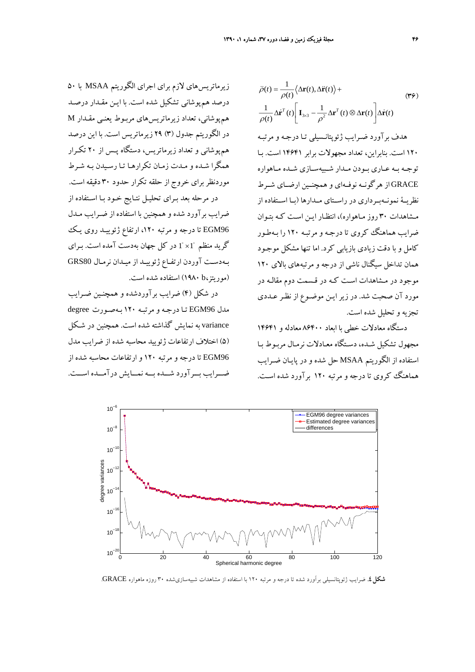زيرماتريسهاي لازم براي اجراي الگوريتم MSAA با 50 درصد هم پوشاني تشكيل شده است. با ايـن مقـدار درصـد هم پوشاني، تعداد زيرماتريسهاي مربـوط يعنـي مقـدار M در الگوريتم جدول (3) 29 زيرماتريس است. با اين درصد هم پوشاني و تعداد زيرماتريس، دستگاه پـس از 20 تكـرار همگرا شـده و مـدت زمـان تكرارهـا تـا رسـيدن بـه شـرط موردنظربراي خروج از حلقه تكرار حدود 30 دقيقه است. در مرحله بعد بـراي تحليـل نتـايج خـود بـا اسـتفاده از ضرايب برآورد شده و همچنين با استفاده از ضـرايب مـدل

96EGM تا درجه و مرتبه ،120 ارتفاع ژئوييـد روي يـك گريد منظم  $1^\circ \times 1^\circ$  در كل جهان بهدست آمده است. بـراي بـهدسـت آوردن ارتفـاع ژئوييـد از ميـدان نرمـال 80GRS (موريتز،b 1980 (استفاده شده است.

در شكل (4) ضرايب برآوردشده و همچنـين ضـرايب مدل 96EGM تـا درجـه و مرتبـه 120 بـهصـورت degree variance به نمايش گذاشته شده است. همچنين در شـكل (5) اختلاف ارتفاعات ژئوييد محاسبه شده از ضرايب مدل 96EGM تا درجه و مرتبه 120 و ارتفاعات محاسبه شده از ضـــرايب بـــرآورد شـــده بـــه نمـــايش درآمـــده اســـت.

$$
\ddot{\rho}(t) = \frac{1}{\rho(t)} \langle \Delta \mathbf{r}(t), \Delta \ddot{\mathbf{r}}(t) \rangle +
$$
\n
$$
\frac{1}{\rho(t)} \Delta \dot{\mathbf{r}}^T(t) \left[ \mathbf{I}_{3\times 3} - \frac{1}{\rho^2} \Delta \mathbf{r}^T(t) \otimes \Delta \mathbf{r}(t) \right] \Delta \dot{\mathbf{r}}(t)
$$
\n
$$
\frac{1}{\rho(t)} \Delta \dot{\mathbf{r}}^T(t) \left[ \mathbf{I}_{3\times 3} - \frac{1}{\rho^2} \Delta \mathbf{r}^T(t) \otimes \Delta \mathbf{r}(t) \right] \Delta \dot{\mathbf{r}}(t)
$$
\n
$$
\text{Ans. } \frac{1}{\rho(t)} \Delta \dot{\mathbf{r}}(t) \left[ \mathbf{I}_{3\times 3} - \frac{1}{\rho^2} \Delta \mathbf{r}^T(t) \otimes \Delta \mathbf{r}(t) \right] \Delta \dot{\mathbf{r}}(t)
$$
\n
$$
\text{Ans. } \frac{1}{\rho(t)} \Delta \dot{\mathbf{r}}(t) \Delta \dot{\mathbf{r}}(t) \Delta \dot{\mathbf{r}}(t) \Delta \dot{\mathbf{r}}(t) \Delta \dot{\mathbf{r}}(t)
$$
\n
$$
\text{Ans. } \frac{1}{\rho(t)} \Delta \dot{\mathbf{r}}(t) \Delta \dot{\mathbf{r}}(t) \Delta \dot{\mathbf{r}}(t) \Delta \dot{\mathbf{r}}(t) \Delta \dot{\mathbf{r}}(t) \Delta \dot{\mathbf{r}}(t) \Delta \dot{\mathbf{r}}(t) \Delta \dot{\mathbf{r}}(t) \Delta \dot{\mathbf{r}}(t) \Delta \dot{\mathbf{r}}(t) \Delta \dot{\mathbf{r}}(t) \Delta \dot{\mathbf{r}}(t) \Delta \dot{\mathbf{r}}(t) \Delta \dot{\mathbf{r}}(t) \Delta \dot{\mathbf{r}}(t) \Delta \dot{\mathbf{r}}(t) \Delta \dot{\mathbf{r}}(t) \Delta \dot{\mathbf{r}}(t) \Delta \dot{\mathbf{r}}(t) \Delta \dot{\mathbf{r}}(t) \Delta \dot{\mathbf{r}}(t) \Delta \dot{\mathbf{r}}(t) \Delta \dot{\mathbf{r}}(t) \Delta \
$$

دستگاه معادلات خطي با ابعاد 86400 معادله و 14641 مجهول تشكيل شـده، دسـتگاه معـادلات نرمـال مربـوط بـا استفاده از الگوريتم MSAA حل شده و در پايـان ضـرايب هماهنگ كروي تا درجه و مرتبه 120 برآورد شده اسـت .



**شكل.4** ضرايب ژئوپتانسيلي برآورد شده تا درجه <sup>و</sup> مرتبه <sup>120</sup> با استفاده از مشاهدات شبيهسازيشده <sup>30</sup> روزه ماهواره GRACE.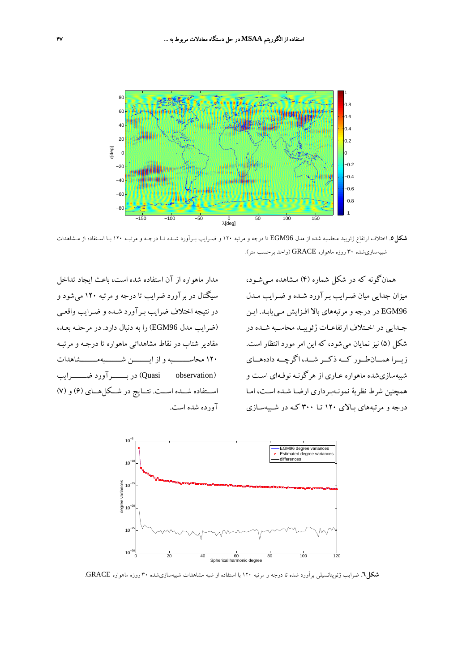

**شكل.5** اختلاف ارتفاع ژئوييد محاسبه شده از مدل 96EGM تا درجه <sup>و</sup> مرتبه <sup>120</sup> <sup>و</sup> ضـرايب بـرآورد شـده تـا درجـه <sup>و</sup> مرتبـه <sup>120</sup> بـا اسـتفاده از مـشاهدات شبيهسازيشده 30 روزه ماهواره GRACE) واحد برحسب متر).

همانگونه كه در شكل شماره (4) مـشاهده مـيشـود، ميزان جدايي ميان ضـرايب بـرآورد شـده و ضـرايب مـدل 96EGM در درجه و مرتبه هاي بالا افـزايش مـي يابـد. ايـن جـدايي در اخـتلاف ارتفاعـات ژئوييـد محاسـبه شـده در شكل (5) نيز نمايان ميشود، كه اين امر مورد انتظار است. زيــرا همــانطــور كــه ذكــر شــد، اگرچــه دادههــاي شبيهسازيشده ماهواره عـاري از هرگونـه نوفـهاي اسـت و همچنين شرط نظرية نمونـهبـرداري ارضـا شـده اسـت، امـا درجه و مرتبههاي بـالاي 120 تـا 300 كـه در شـب يهسـازي

مدار ماهواره از آن استفاده شده است، باعث ايجاد تداخل سيگنال در برآورد ضرايب تا درجه و مرتبه 120 ميشود و در نتيجه اختلاف ضرايب بـرآورد شـده و ضـرايب واقعـي (ضرايب مدل 96EGM (را به دنبال دارد. در مرحلـه بعـد، مقادير شتاب در نقاط مشاهداتي ماهواره تا درجـه و مرتبـه 120 محاســــــــبه و از ايــــــــن شــــــــبهمــــــــشاهدات (observation Quasi (در بـــــــرآورد ضـــــــرايب اســتفاده شــده اســت. نتــايج در شــكلهــاي (6) و (7) آورده شده است.



**شكل.6** ضرايب ژئوپتانسيلي برآورد شده تا درجه <sup>و</sup> مرتبه <sup>120</sup> با استفاده از شبه مشاهدات شبيهسازيشده <sup>30</sup> روزه ماهواره GRACE.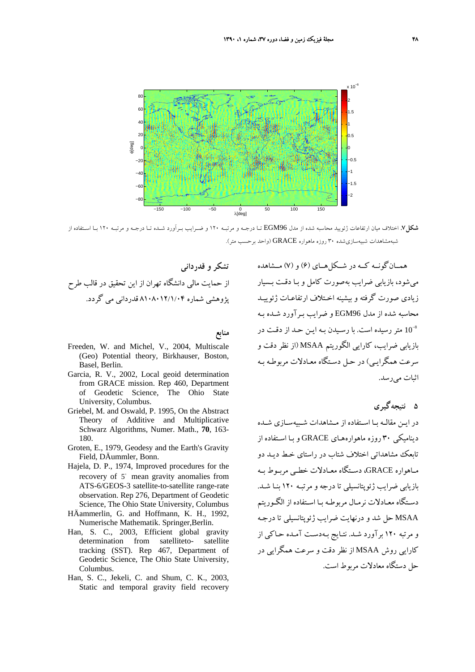

**شكل.7** اختلاف ميان ارتفاعات ژئوييد محاسبه شده از مدل 96EGM تـا درجـه <sup>و</sup> مرتبـه <sup>120</sup> <sup>و</sup> ضـرايب بـرآورد شـده تـا درجـه <sup>و</sup> مرتبـه <sup>120</sup> بـا اسـتفاده از شبهمشاهدات شبيهسازيشده 30 روزه ماهواره GRACE) واحد برحسب متر).

**تشكر و قدرداني**  از حمايت مالي دانشگاه تهران از اين تحقيق در قالب طرح پژوهشي شماره 8108012/1/04 قدرداني مي گردد.

**منابع** 

- Freeden, W. and Michel, V., 2004, Multiscale (Geo) Potential theory, Birkhauser, Boston, Basel, Berlin.
- Garcia, R. V., 2002, Local geoid determination from GRACE mission. Rep 460, Department of Geodetic Science, The Ohio State University, Columbus.
- Griebel, M. and Oswald, P. 1995, On the Abstract Theory of Additive and Multiplicative Schwarz Algorithms, Numer. Math., **70**, 163- 180.
- Groten, E., 1979, Geodesy and the Earth's Gravity Field, DÄummler, Bonn.
- Hajela, D. P., 1974, Improved procedures for the recovery of  $5^\circ$  mean gravity anomalies from ATS-6/GEOS-3 satellite-to-satellite range-rate observation. Rep 276, Department of Geodetic Science, The Ohio State University, Columbus
- HÄammerlin, G. and Hoffmann, K. H., 1992, Numerische Mathematik. Springer,Berlin.
- Han, S. C., 2003, Efficient global gravity determination from satelliteto- satellite tracking (SST). Rep 467, Department of Geodetic Science, The Ohio State University, Columbus.
- Han, S. C., Jekeli, C. and Shum, C. K., 2003, Static and temporal gravity field recovery

همــانگونــه كــه در شــكلهــاي (6) و (7) مــشاهده ميشود، بازيابي ضرايب بهصورت كامل و بـا دقـت بـسيار زيادي صورت گرفته و بيشينه اخـتلاف ارتفاعـات ژئوييـد محاسبه شده از مدل 96EGM و ضرايب بـرآورد شـده بـه متر رسيده است. با رسيدن بـه ايـن حـد از دقـت در  $10^{-8}$ بازيابي ضرايب، كارايي الگوريتم MSAA) از نظر دقت و سرعت همگرايـي) در حـل دسـتگاه معـادلات مربوطـه بـه اثبات ميرسد.

**5 نتيجهگيري** 

در ايـن مقالـه بـا اسـتفاده از مـشاهدات شـبيهسـازي شـده ديناميكي 30 روزه ماهوارههـاي GRACE و بـا اسـتفاده از تابعك مشاهداتي اختلاف شتاب در راستاي خـط ديـد دو مــاهواره GRACE، دســتگاه معــادلات خطــي مربــوط بــه بازيابي ضرايب ژئوپتانسيلي تا درجه و مرتبـه 120 بنـا شـد . دسـتگاه معـادلات نرمـال مربوطـه بـا اسـتفاده از الگـوريتم MSAA حل شد و درنهايت ضرايب ژئوپتانسيلي تا درجـه و مرتبه 120 برآورد شـد. نتـايج بـهدسـت آمـده حـاكي از كارايي روش MSAA از نظر دقت و سرعت همگرايي در حل دستگاه معادلات مربوط است.